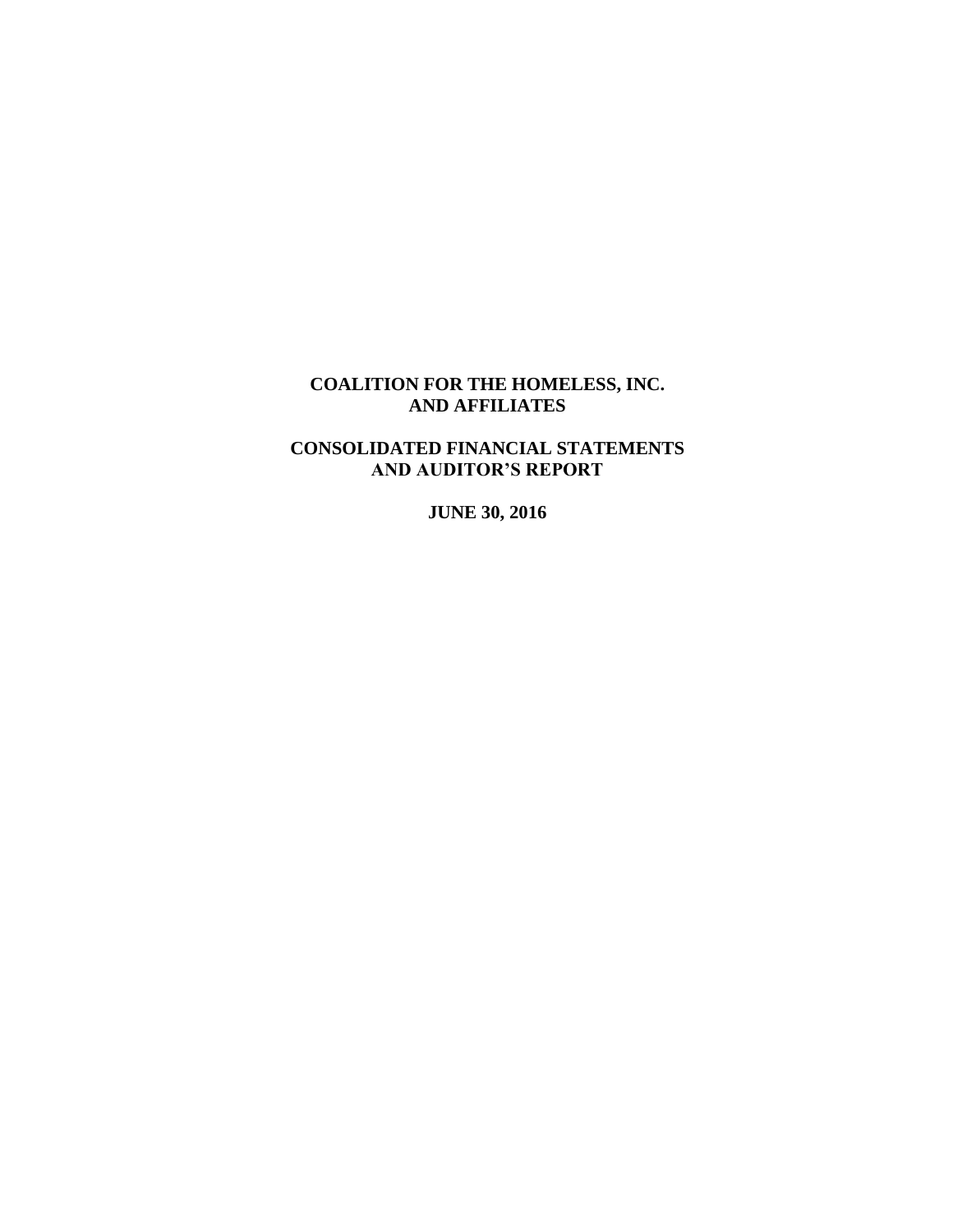# **CONSOLIDATED FINANCIAL STATEMENTS AND AUDITOR'S REPORT**

**JUNE 30, 2016**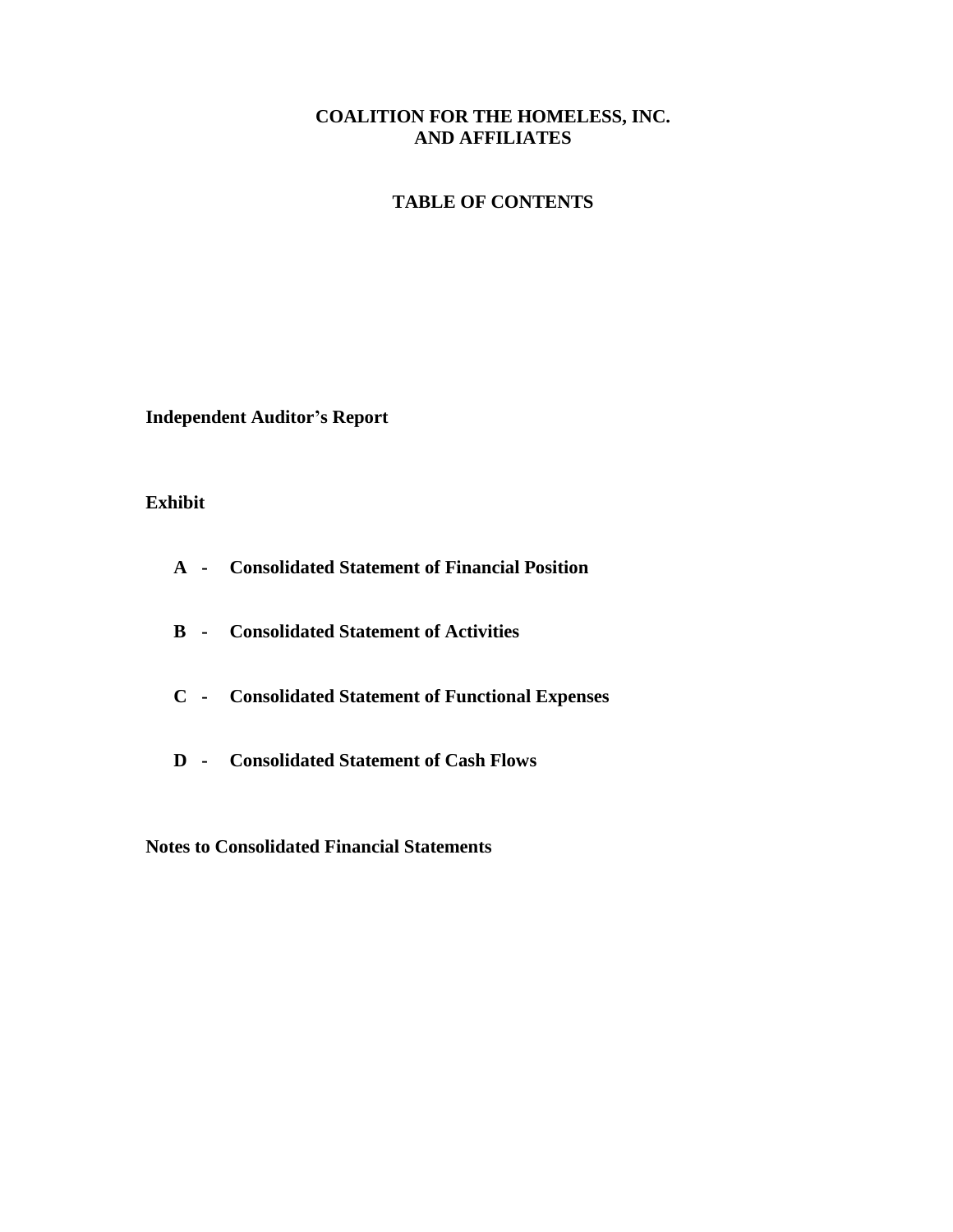## **TABLE OF CONTENTS**

**Independent Auditor's Report**

## **Exhibit**

- **A - Consolidated Statement of Financial Position**
- **B - Consolidated Statement of Activities**
- **C - Consolidated Statement of Functional Expenses**
- **D - Consolidated Statement of Cash Flows**

**Notes to Consolidated Financial Statements**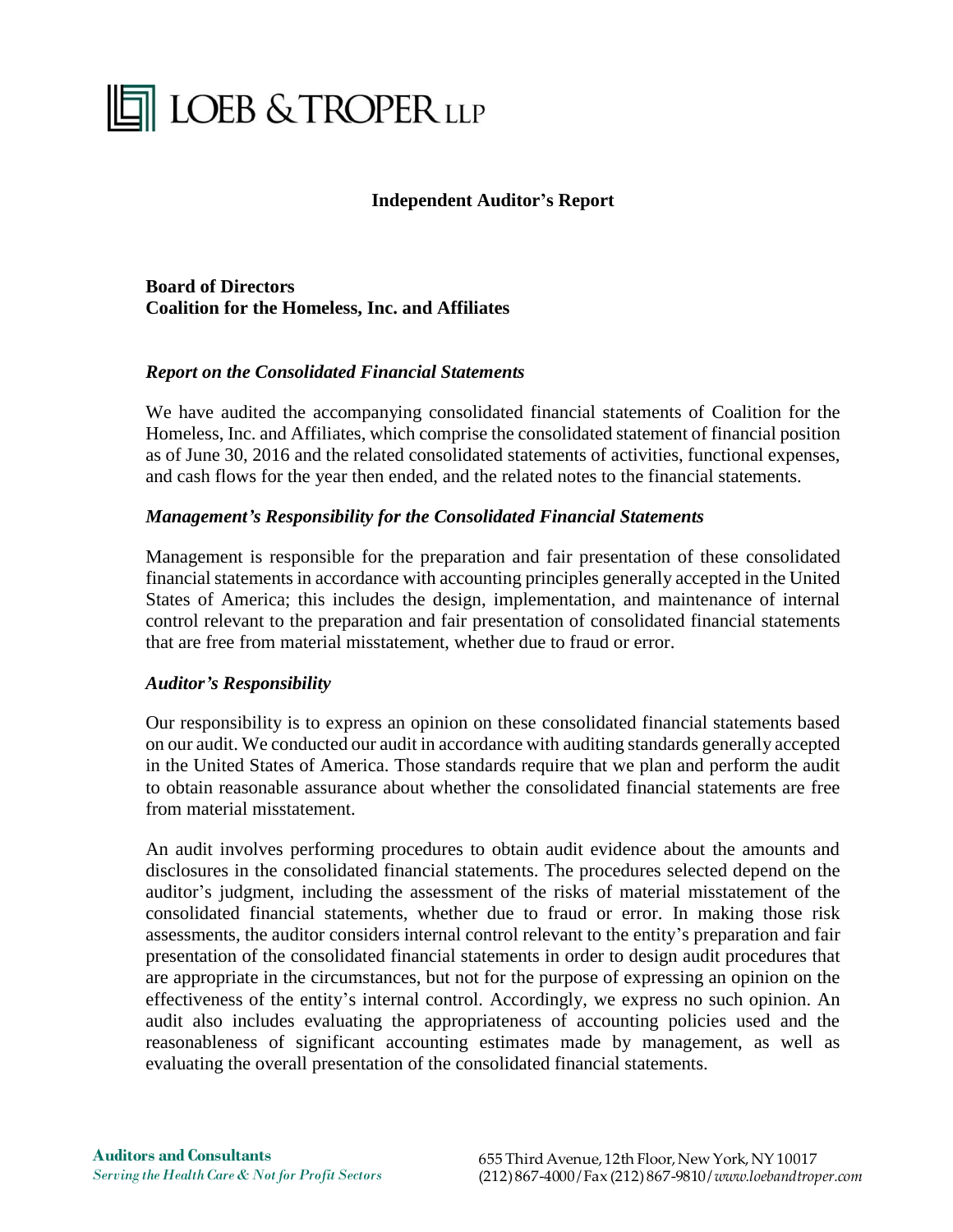# **THE LOEB & TROPER LLP**

## **Independent Auditor's Report**

**Board of Directors Coalition for the Homeless, Inc. and Affiliates**

## *Report on the Consolidated Financial Statements*

We have audited the accompanying consolidated financial statements of Coalition for the Homeless, Inc. and Affiliates, which comprise the consolidated statement of financial position as of June 30, 2016 and the related consolidated statements of activities, functional expenses, and cash flows for the year then ended, and the related notes to the financial statements.

## *Management's Responsibility for the Consolidated Financial Statements*

Management is responsible for the preparation and fair presentation of these consolidated financial statements in accordance with accounting principles generally accepted in the United States of America; this includes the design, implementation, and maintenance of internal control relevant to the preparation and fair presentation of consolidated financial statements that are free from material misstatement, whether due to fraud or error.

## *Auditor's Responsibility*

Our responsibility is to express an opinion on these consolidated financial statements based on our audit. We conducted our audit in accordance with auditing standards generally accepted in the United States of America. Those standards require that we plan and perform the audit to obtain reasonable assurance about whether the consolidated financial statements are free from material misstatement.

An audit involves performing procedures to obtain audit evidence about the amounts and disclosures in the consolidated financial statements. The procedures selected depend on the auditor's judgment, including the assessment of the risks of material misstatement of the consolidated financial statements, whether due to fraud or error. In making those risk assessments, the auditor considers internal control relevant to the entity's preparation and fair presentation of the consolidated financial statements in order to design audit procedures that are appropriate in the circumstances, but not for the purpose of expressing an opinion on the effectiveness of the entity's internal control. Accordingly, we express no such opinion. An audit also includes evaluating the appropriateness of accounting policies used and the reasonableness of significant accounting estimates made by management, as well as evaluating the overall presentation of the consolidated financial statements.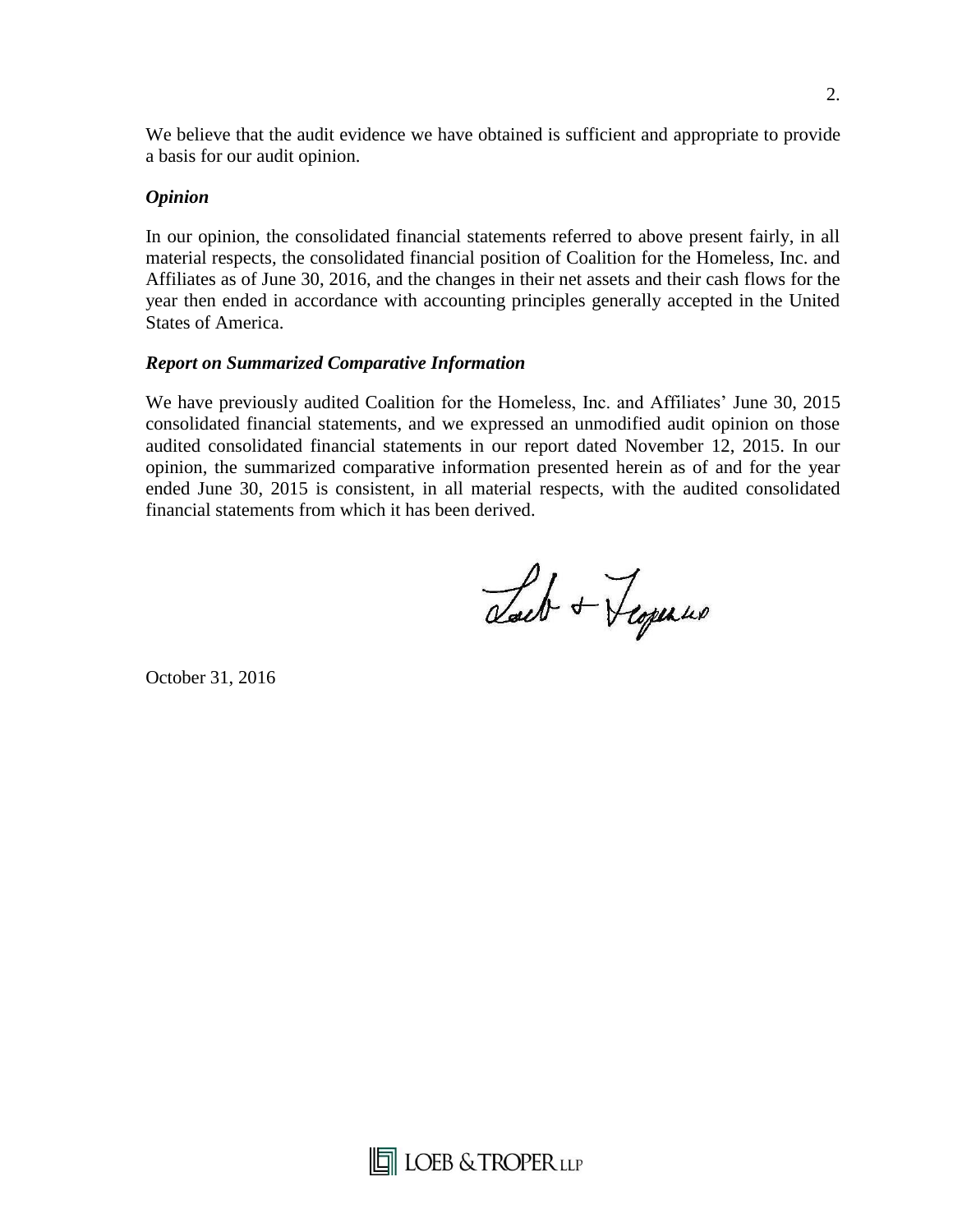We believe that the audit evidence we have obtained is sufficient and appropriate to provide a basis for our audit opinion.

## *Opinion*

In our opinion, the consolidated financial statements referred to above present fairly, in all material respects, the consolidated financial position of Coalition for the Homeless, Inc. and Affiliates as of June 30, 2016, and the changes in their net assets and their cash flows for the year then ended in accordance with accounting principles generally accepted in the United States of America.

## *Report on Summarized Comparative Information*

We have previously audited Coalition for the Homeless, Inc. and Affiliates' June 30, 2015 consolidated financial statements, and we expressed an unmodified audit opinion on those audited consolidated financial statements in our report dated November 12, 2015. In our opinion, the summarized comparative information presented herein as of and for the year ended June 30, 2015 is consistent, in all material respects, with the audited consolidated financial statements from which it has been derived.

Lact + Teopenus

October 31, 2016



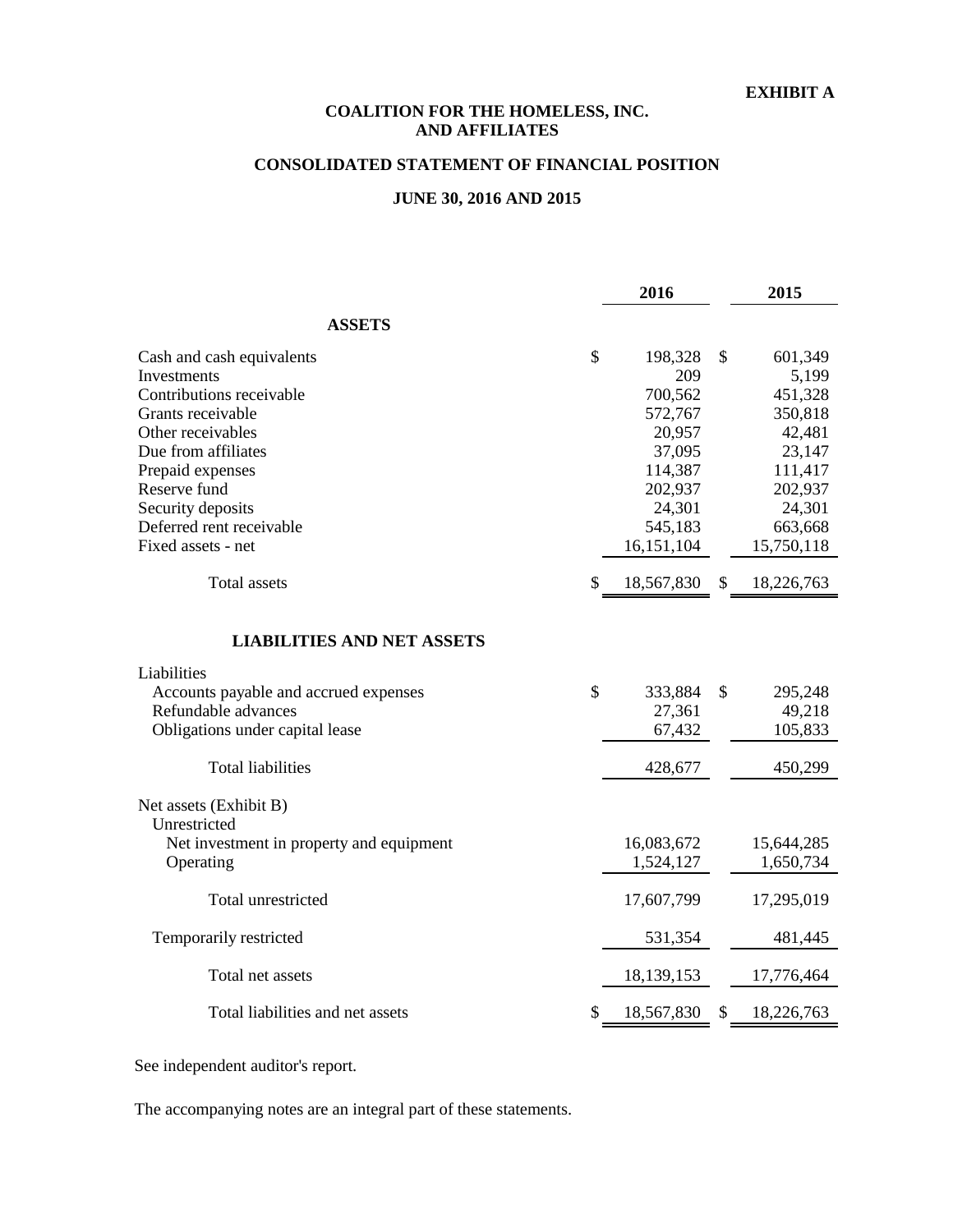#### **EXHIBIT A**

#### **AND AFFILIATES COALITION FOR THE HOMELESS, INC.**

## **CONSOLIDATED STATEMENT OF FINANCIAL POSITION**

## **JUNE 30, 2016 AND 2015**

|                                          |               | 2016       | 2015             |
|------------------------------------------|---------------|------------|------------------|
| <b>ASSETS</b>                            |               |            |                  |
| Cash and cash equivalents                | \$            | 198,328    | \$<br>601,349    |
| Investments                              |               | 209        | 5,199            |
| Contributions receivable                 |               | 700,562    | 451,328          |
| Grants receivable                        |               | 572,767    | 350,818          |
| Other receivables                        |               | 20,957     | 42,481           |
| Due from affiliates                      |               | 37,095     | 23,147           |
| Prepaid expenses                         |               | 114,387    | 111,417          |
| Reserve fund                             |               | 202,937    | 202,937          |
| Security deposits                        |               | 24,301     | 24,301           |
| Deferred rent receivable                 |               | 545,183    | 663,668          |
| Fixed assets - net                       |               | 16,151,104 | 15,750,118       |
| <b>Total assets</b>                      | \$            | 18,567,830 | \$<br>18,226,763 |
| <b>LIABILITIES AND NET ASSETS</b>        |               |            |                  |
| Liabilities                              |               |            |                  |
| Accounts payable and accrued expenses    | $\mathcal{S}$ | 333,884    | \$<br>295,248    |
| Refundable advances                      |               | 27,361     | 49,218           |
| Obligations under capital lease          |               | 67,432     | 105,833          |
|                                          |               |            |                  |
| <b>Total liabilities</b>                 |               | 428,677    | 450,299          |
| Net assets (Exhibit B)<br>Unrestricted   |               |            |                  |
| Net investment in property and equipment |               | 16,083,672 | 15,644,285       |
| Operating                                |               | 1,524,127  | 1,650,734        |
|                                          |               |            |                  |
| Total unrestricted                       |               | 17,607,799 | 17,295,019       |
| Temporarily restricted                   |               | 531,354    | 481,445          |
| Total net assets                         |               | 18,139,153 | 17,776,464       |
| Total liabilities and net assets         | \$            | 18,567,830 | \$<br>18,226,763 |

See independent auditor's report.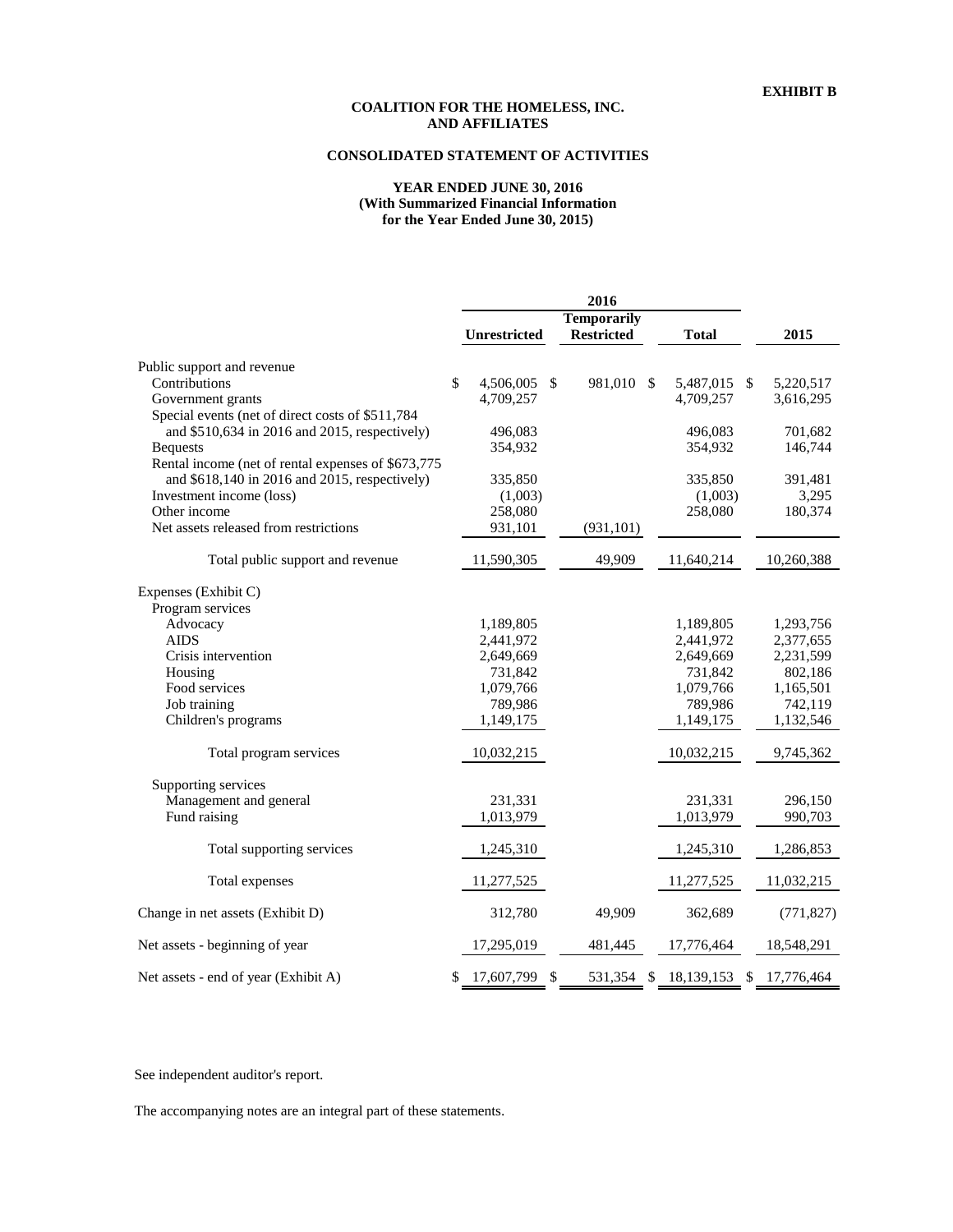## **CONSOLIDATED STATEMENT OF ACTIVITIES**

#### **YEAR ENDED JUNE 30, 2016 (With Summarized Financial Information for the Year Ended June 30, 2015)**

|                                                    | 2016 |                    |               |                   |              |  |                  |
|----------------------------------------------------|------|--------------------|---------------|-------------------|--------------|--|------------------|
|                                                    |      | <b>Temporarily</b> |               |                   |              |  |                  |
|                                                    |      | Unrestricted       |               | <b>Restricted</b> | <b>Total</b> |  | 2015             |
| Public support and revenue                         |      |                    |               |                   |              |  |                  |
| Contributions                                      | \$   | 4,506,005          | - \$          | 981,010 \$        | 5,487,015 \$ |  | 5,220,517        |
| Government grants                                  |      | 4,709,257          |               |                   | 4,709,257    |  | 3,616,295        |
| Special events (net of direct costs of \$511,784   |      |                    |               |                   |              |  |                  |
| and \$510,634 in 2016 and 2015, respectively)      |      | 496,083            |               |                   | 496,083      |  | 701,682          |
| <b>Bequests</b>                                    |      | 354,932            |               |                   | 354,932      |  | 146,744          |
| Rental income (net of rental expenses of \$673,775 |      |                    |               |                   |              |  |                  |
| and \$618,140 in 2016 and 2015, respectively)      |      | 335,850            |               |                   | 335,850      |  | 391,481          |
| Investment income (loss)                           |      | (1,003)            |               |                   | (1,003)      |  | 3,295            |
| Other income                                       |      | 258,080            |               |                   | 258,080      |  | 180,374          |
| Net assets released from restrictions              |      | 931,101            |               | (931, 101)        |              |  |                  |
| Total public support and revenue                   |      | 11,590,305         |               | 49,909            | 11,640,214   |  | 10,260,388       |
| Expenses (Exhibit C)                               |      |                    |               |                   |              |  |                  |
| Program services                                   |      |                    |               |                   |              |  |                  |
| Advocacy                                           |      | 1,189,805          |               |                   | 1,189,805    |  | 1,293,756        |
| <b>AIDS</b>                                        |      | 2,441,972          |               |                   | 2,441,972    |  | 2,377,655        |
| Crisis intervention                                |      | 2,649,669          |               |                   | 2,649,669    |  | 2,231,599        |
| Housing                                            |      | 731,842            |               |                   | 731,842      |  | 802,186          |
| Food services                                      |      | 1,079,766          |               |                   | 1,079,766    |  | 1,165,501        |
| Job training                                       |      | 789,986            |               |                   | 789,986      |  | 742,119          |
| Children's programs                                |      | 1,149,175          |               |                   | 1,149,175    |  | 1,132,546        |
| Total program services                             |      | 10,032,215         |               |                   | 10,032,215   |  |                  |
|                                                    |      |                    |               |                   |              |  | 9,745,362        |
| Supporting services                                |      |                    |               |                   |              |  |                  |
| Management and general                             |      | 231,331            |               |                   | 231,331      |  | 296,150          |
| Fund raising                                       |      | 1,013,979          |               |                   | 1,013,979    |  | 990,703          |
| Total supporting services                          |      | 1,245,310          |               |                   | 1,245,310    |  | 1,286,853        |
| Total expenses                                     |      | 11,277,525         |               |                   | 11,277,525   |  | 11,032,215       |
| Change in net assets (Exhibit D)                   |      | 312,780            |               | 49,909            | 362,689      |  | (771, 827)       |
| Net assets - beginning of year                     |      | 17,295,019         |               | 481,445           | 17,776,464   |  | 18,548,291       |
| Net assets - end of year (Exhibit A)               | \$   | 17,607,799         | $\mathcal{S}$ | 531.354<br>\$     | 18,139,153   |  | \$<br>17,776,464 |

See independent auditor's report.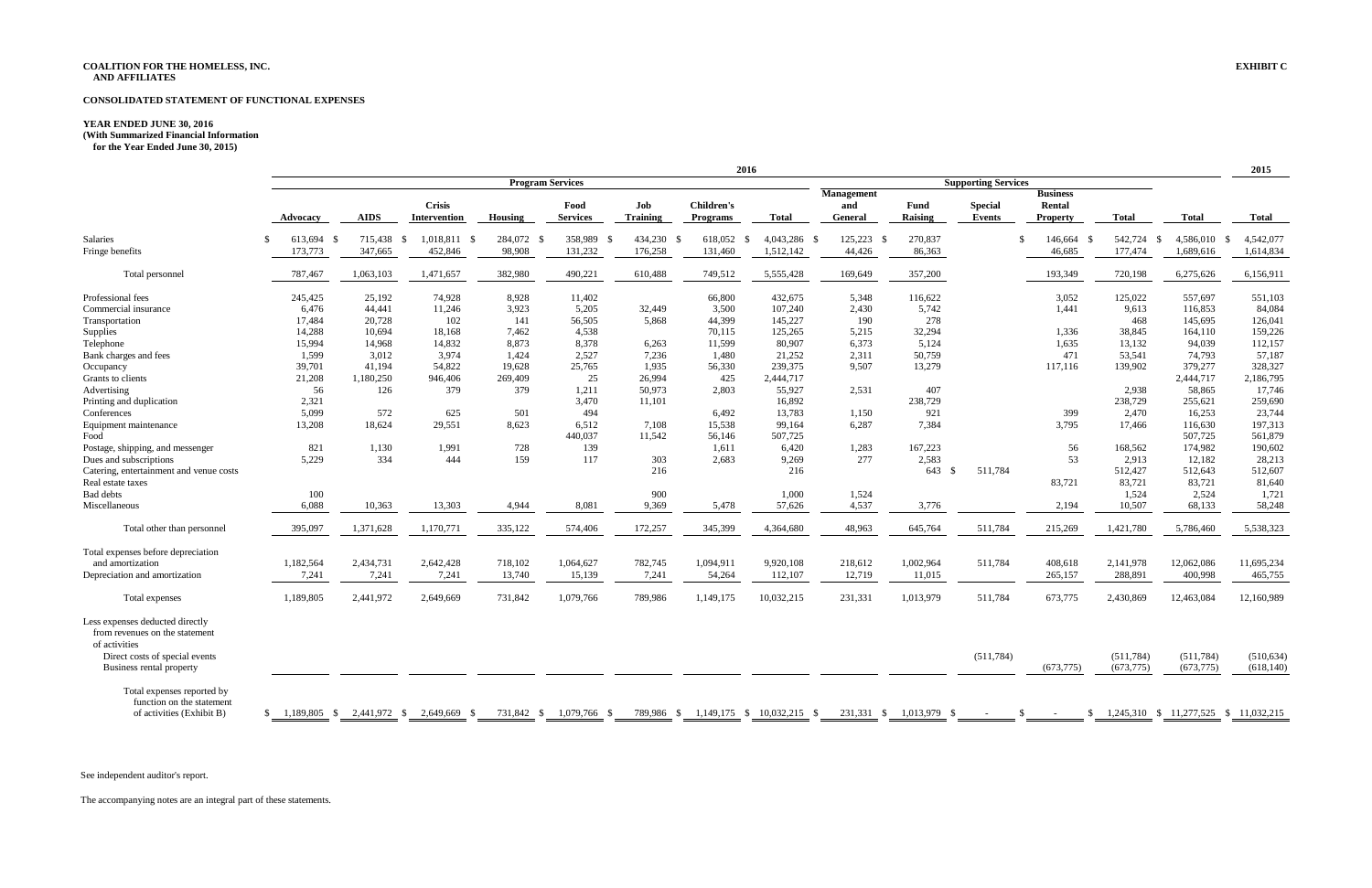#### **CONSOLIDATED STATEMENT OF FUNCTIONAL EXPENSES**

#### **YEAR ENDED JUNE 30, 2016**

**for the Year Ended June 30, 2015)**

**2015**

|                                                                                      |                          |                                                       |                                      |                      |                         |                               | 2016                                 |                        |                                            |                        |                                 |                                              |                            |                                       | 2015                     |
|--------------------------------------------------------------------------------------|--------------------------|-------------------------------------------------------|--------------------------------------|----------------------|-------------------------|-------------------------------|--------------------------------------|------------------------|--------------------------------------------|------------------------|---------------------------------|----------------------------------------------|----------------------------|---------------------------------------|--------------------------|
|                                                                                      |                          | <b>Program Services</b><br><b>Supporting Services</b> |                                      |                      |                         |                               |                                      |                        |                                            |                        |                                 |                                              |                            |                                       |                          |
|                                                                                      | <b>Advocacy</b>          | <b>AIDS</b>                                           | <b>Crisis</b><br>Intervention        | Housing              | Food<br><b>Services</b> | Job<br><b>Training</b>        | <b>Children's</b><br><b>Programs</b> | <b>Total</b>           | <b>Management</b><br>and<br><b>General</b> | Fund<br><b>Raising</b> | <b>Special</b><br><b>Events</b> | <b>Business</b><br>Rental<br><b>Property</b> | <b>Total</b>               | <b>Total</b>                          | <b>Total</b>             |
| Salaries<br>Fringe benefits                                                          | 613,694<br>\$<br>173,773 | 715,438<br>- \$<br>347,665                            | 1,018,811<br>- \$<br>- \$<br>452,846 | 284,072 \$<br>98,908 | 358,989<br>131,232      | 434,230 \$<br>- \$<br>176,258 | 618,052<br>- \$<br>131,460           | 4,043,286<br>1,512,142 | 125,223<br>- \$<br>- \$<br>44,426          | 270,837<br>86,363      |                                 | 146,664 \$<br>\$<br>46,685                   | 542,724<br>- \$<br>177,474 | 4,586,010 \$<br>1,689,616             | 4,542,077<br>1,614,834   |
| Total personnel                                                                      | 787,467                  | 1,063,103                                             | 1,471,657                            | 382,980              | 490,221                 | 610,488                       | 749,512                              | 5,555,428              | 169,649                                    | 357,200                |                                 | 193,349                                      | 720,198                    | 6,275,626                             | 6,156,911                |
| Professional fees                                                                    | 245,425                  | 25,192                                                | 74,928                               | 8,928                | 11,402                  |                               | 66,800                               | 432,675                | 5,348                                      | 116,622                |                                 | 3,052                                        | 125,022                    | 557,697                               | 551,103                  |
| Commercial insurance                                                                 | 6,476                    | 44,441                                                | 11,246                               | 3.923                | 5,205                   | 32,449                        | 3,500                                | 107,240                | 2,430                                      | 5,742                  |                                 | 1,441                                        | 9,613                      | 116,853                               | 84,084                   |
| Transportation                                                                       | 17,484                   | 20,728                                                | 102                                  | 141                  | 56,505                  | 5.868                         | 44,399                               | 145,227                | 190                                        | 278                    |                                 |                                              | 468                        | 145,695                               | 126,041                  |
| Supplies                                                                             | 14,288                   | 10,694                                                | 18,168                               | 7,462                | 4,538                   |                               | 70,115                               | 125,265                | 5,215                                      | 32,294                 |                                 | 1,336                                        | 38,845                     | 164,110                               | 159,226                  |
| Telephone                                                                            | 15,994                   | 14,968                                                | 14,832                               | 8,873                | 8,378                   | 6,263                         | 11,599                               | 80,907                 | 6,373                                      | 5,124                  |                                 | 1,635                                        | 13,132                     | 94,039                                | 112,157                  |
| Bank charges and fees                                                                | 1,599                    | 3,012                                                 | 3,974                                | 1,424                | 2,527                   | 7,236                         | 1,480                                | 21,252                 | 2,311                                      | 50,759                 |                                 | 471                                          | 53,541                     | 74,793                                | 57,187                   |
| Occupancy                                                                            | 39,701                   | 41,194                                                | 54,822                               | 19,628               | 25,765                  | 1,935                         | 56,330                               | 239,375                | 9,507                                      | 13,279                 |                                 | 117,116                                      | 139,902                    | 379,277                               | 328,327                  |
| Grants to clients                                                                    | 21,208                   | 1,180,250                                             | 946,406                              | 269,409              | 25                      | 26,994                        | 425                                  | 2,444,717              |                                            |                        |                                 |                                              |                            | 2,444,717                             | 2,186,795                |
| Advertising                                                                          | 56                       | 126                                                   | 379                                  | 379                  | 1,211                   | 50,973                        | 2,803                                | 55,927                 | 2,531                                      | 407                    |                                 |                                              | 2,938                      | 58,865                                | 17,746                   |
| Printing and duplication                                                             | 2,321                    |                                                       |                                      |                      | 3,470                   | 11,101                        |                                      | 16,892                 |                                            | 238,729                |                                 |                                              | 238,729                    | 255,621                               | 259,690                  |
| Conferences                                                                          | 5,099                    | 572                                                   | 625                                  | 501                  | 494                     |                               | 6,492                                | 13,783                 | 1,150                                      | 921                    |                                 | 399                                          | 2,470                      | 16,253                                | 23,744                   |
|                                                                                      | 13,208                   | 18,624                                                | 29,551                               | 8,623                | 6,512                   | 7,108                         | 15,538                               | 99,164                 | 6,287                                      | 7,384                  |                                 | 3,795                                        |                            | 116,630                               | 197,313                  |
| Equipment maintenance                                                                |                          |                                                       |                                      |                      |                         |                               |                                      |                        |                                            |                        |                                 |                                              | 17,466                     |                                       |                          |
| Food                                                                                 | 821                      |                                                       |                                      |                      | 440,037                 | 11,542                        | 56,146                               | 507,725                |                                            |                        |                                 |                                              |                            | 507,725                               | 561,879                  |
| Postage, shipping, and messenger                                                     |                          | 1,130                                                 | 1,991                                | 728                  | 139                     |                               | 1,611                                | 6,420                  | 1,283                                      | 167,223                |                                 | 56                                           | 168,562                    | 174,982                               | 190,602                  |
| Dues and subscriptions                                                               | 5,229                    | 334                                                   | 444                                  | 159                  | 117                     | 303                           | 2,683                                | 9,269                  | 277                                        | 2,583                  |                                 | 53                                           | 2,913                      | 12,182                                | 28,213                   |
| Catering, entertainment and venue costs                                              |                          |                                                       |                                      |                      |                         | 216                           |                                      | 216                    |                                            | 643<br>- \$            | 511,784                         |                                              | 512,427                    | 512,643                               | 512,607                  |
| Real estate taxes                                                                    |                          |                                                       |                                      |                      |                         |                               |                                      |                        |                                            |                        |                                 | 83,721                                       | 83,721                     | 83,721                                | 81,640                   |
| <b>Bad debts</b>                                                                     | 100                      |                                                       |                                      |                      |                         | 900                           |                                      | 1,000                  | 1,524                                      |                        |                                 |                                              | 1,524                      | 2,524                                 | 1,721                    |
| Miscellaneous                                                                        | 6,088                    | 10,363                                                | 13,303                               | 4,944                | 8,081                   | 9,369                         | 5,478                                | 57,626                 | 4,537                                      | 3,776                  |                                 | 2,194                                        | 10,507                     | 68,133                                | 58,248                   |
| Total other than personnel                                                           | 395,097                  | 1,371,628                                             | 1,170,771                            | 335,122              | 574,406                 | 172,257                       | 345,399                              | 4,364,680              | 48,963                                     | 645,764                | 511,784                         | 215,269                                      | 1,421,780                  | 5,786,460                             | 5,538,323                |
| Total expenses before depreciation                                                   |                          |                                                       |                                      |                      |                         |                               |                                      |                        |                                            |                        |                                 |                                              |                            |                                       |                          |
| and amortization                                                                     | 1,182,564                | 2,434,731                                             | 2,642,428                            | 718,102              | 1,064,627               | 782,745                       | 1,094,911                            | 9,920,108              | 218,612                                    | 1,002,964              | 511,784                         | 408,618                                      | 2,141,978                  | 12,062,086                            | 11,695,234               |
| Depreciation and amortization                                                        | 7,241                    | 7,241                                                 | 7,241                                | 13,740               | 15,139                  | 7,241                         | 54,264                               | 112,107                | 12,719                                     | 11,015                 |                                 | 265,157                                      | 288,891                    | 400,998                               | 465,755                  |
| Total expenses                                                                       | 1,189,805                | 2,441,972                                             | 2,649,669                            | 731,842              | 1,079,766               | 789,986                       | 1,149,175                            | 10,032,215             | 231,331                                    | 1,013,979              | 511,784                         | 673,775                                      | 2,430,869                  | 12,463,084                            | 12,160,989               |
| Less expenses deducted directly<br>from revenues on the statement<br>of activities   |                          |                                                       |                                      |                      |                         |                               |                                      |                        |                                            |                        |                                 |                                              |                            |                                       |                          |
| Direct costs of special events<br>Business rental property                           |                          |                                                       |                                      |                      |                         |                               |                                      |                        |                                            |                        | (511, 784)                      | (673, 775)                                   | (511, 784)<br>(673, 775)   | (511, 784)<br>(673, 775)              | (510, 634)<br>(618, 140) |
| Total expenses reported by<br>function on the statement<br>of activities (Exhibit B) | 1,189,805 \$<br>\$       | 2,441,972 \$                                          | 2,649,669 \$                         | 731,842 \$           | 1,079,766 \$            | 789,986 \$                    | 1,149,175 \$ 10,032,215 \$           |                        | 231,331 \$                                 | 1,013,979<br>- \$      |                                 | -S                                           | $\mathbb{S}$               | 1,245,310 \$ 11,277,525 \$ 11,032,215 |                          |

See independent auditor's report.

**<sup>(</sup>With Summarized Financial Information**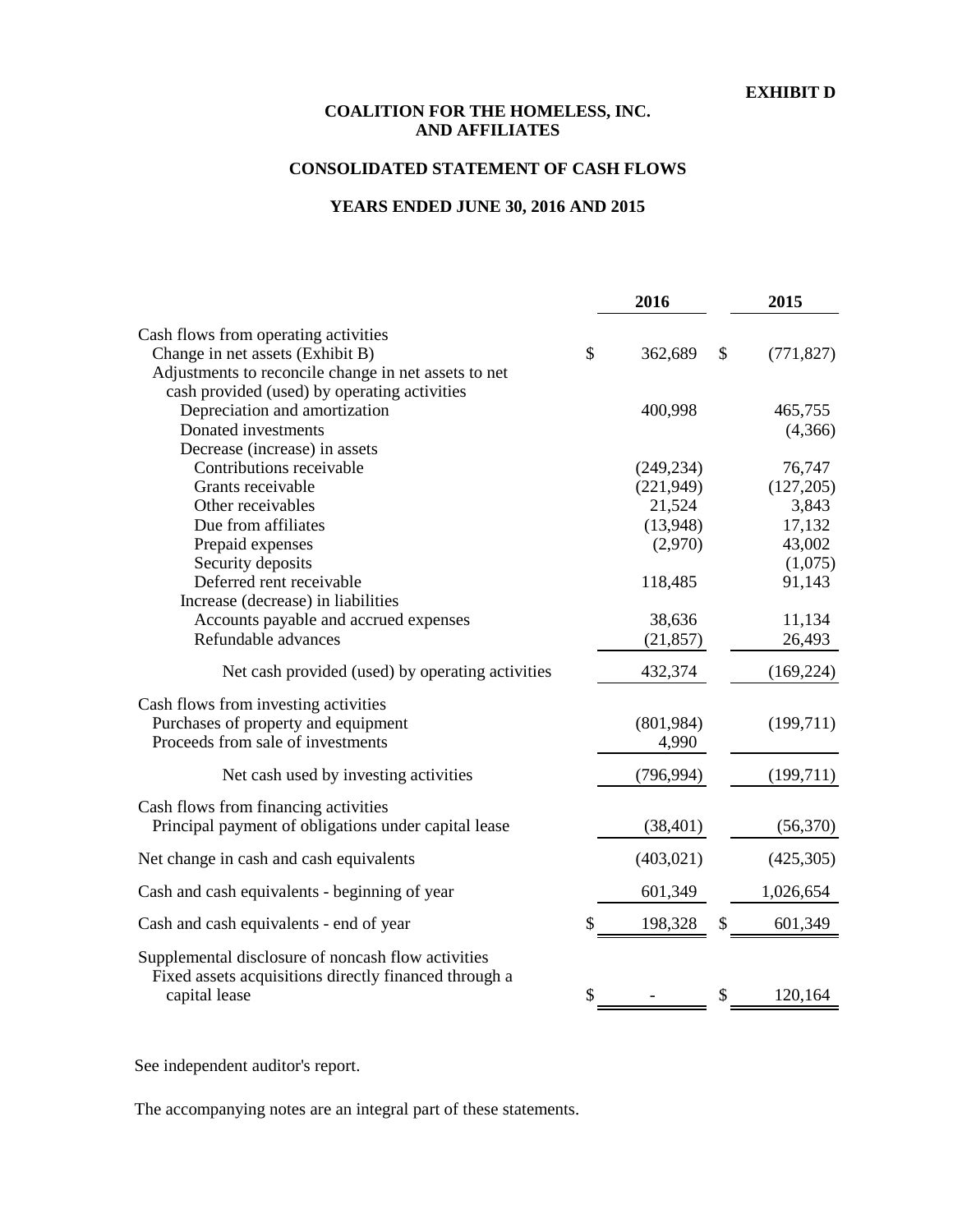#### **EXHIBIT D**

## **COALITION FOR THE HOMELESS, INC. AND AFFILIATES**

## **CONSOLIDATED STATEMENT OF CASH FLOWS**

## **YEARS ENDED JUNE 30, 2016 AND 2015**

|                                                       | 2016          |               | 2015       |
|-------------------------------------------------------|---------------|---------------|------------|
| Cash flows from operating activities                  |               |               |            |
| Change in net assets (Exhibit B)                      | \$<br>362,689 | $\mathcal{S}$ | (771, 827) |
| Adjustments to reconcile change in net assets to net  |               |               |            |
| cash provided (used) by operating activities          |               |               |            |
| Depreciation and amortization                         | 400,998       |               | 465,755    |
| Donated investments                                   |               |               | (4,366)    |
| Decrease (increase) in assets                         |               |               |            |
| Contributions receivable                              | (249, 234)    |               | 76,747     |
| Grants receivable                                     | (221, 949)    |               | (127,205)  |
| Other receivables                                     | 21,524        |               | 3,843      |
| Due from affiliates                                   | (13,948)      |               | 17,132     |
| Prepaid expenses                                      | (2,970)       |               | 43,002     |
| Security deposits                                     |               |               | (1,075)    |
| Deferred rent receivable                              | 118,485       |               | 91,143     |
| Increase (decrease) in liabilities                    |               |               |            |
| Accounts payable and accrued expenses                 | 38,636        |               | 11,134     |
| Refundable advances                                   | (21, 857)     |               | 26,493     |
| Net cash provided (used) by operating activities      | 432,374       |               | (169, 224) |
| Cash flows from investing activities                  |               |               |            |
| Purchases of property and equipment                   | (801,984)     |               | (199,711)  |
| Proceeds from sale of investments                     | 4,990         |               |            |
|                                                       |               |               |            |
| Net cash used by investing activities                 | (796, 994)    |               | (199,711)  |
| Cash flows from financing activities                  |               |               |            |
| Principal payment of obligations under capital lease  | (38, 401)     |               | (56,370)   |
| Net change in cash and cash equivalents               | (403, 021)    |               | (425,305)  |
| Cash and cash equivalents - beginning of year         | 601,349       |               | 1,026,654  |
| Cash and cash equivalents - end of year               | \$<br>198,328 | \$            | 601,349    |
| Supplemental disclosure of noncash flow activities    |               |               |            |
| Fixed assets acquisitions directly financed through a |               |               |            |
| capital lease                                         | \$            | \$            | 120,164    |
|                                                       |               |               |            |

See independent auditor's report.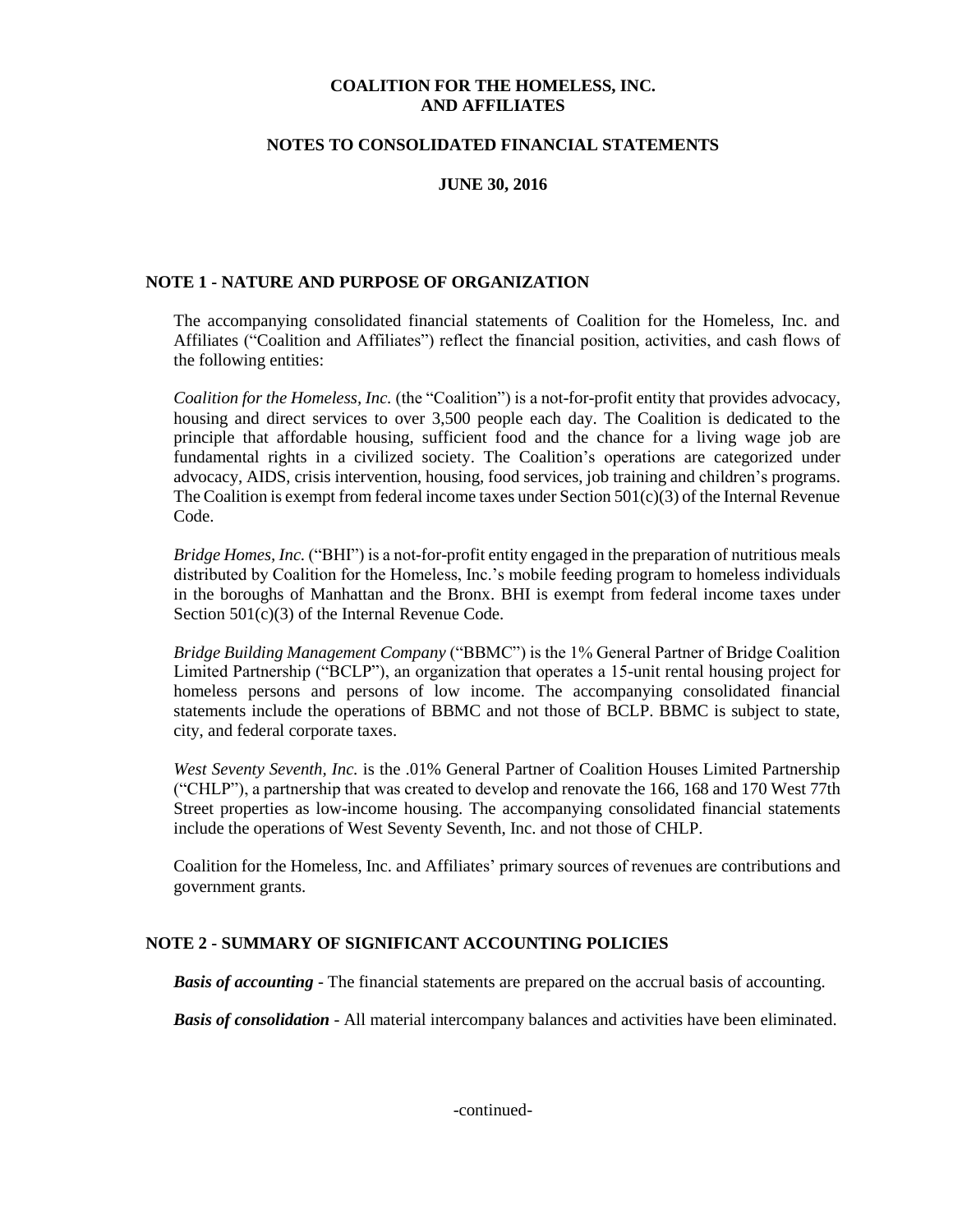#### **NOTES TO CONSOLIDATED FINANCIAL STATEMENTS**

## **JUNE 30, 2016**

## **NOTE 1 - NATURE AND PURPOSE OF ORGANIZATION**

The accompanying consolidated financial statements of Coalition for the Homeless, Inc. and Affiliates ("Coalition and Affiliates") reflect the financial position, activities, and cash flows of the following entities:

*Coalition for the Homeless, Inc.* (the "Coalition") is a not-for-profit entity that provides advocacy, housing and direct services to over 3,500 people each day. The Coalition is dedicated to the principle that affordable housing, sufficient food and the chance for a living wage job are fundamental rights in a civilized society. The Coalition's operations are categorized under advocacy, AIDS, crisis intervention, housing, food services, job training and children's programs. The Coalition is exempt from federal income taxes under Section  $501(c)(3)$  of the Internal Revenue Code.

*Bridge Homes, Inc.* ("BHI") is a not-for-profit entity engaged in the preparation of nutritious meals distributed by Coalition for the Homeless, Inc.'s mobile feeding program to homeless individuals in the boroughs of Manhattan and the Bronx. BHI is exempt from federal income taxes under Section 501(c)(3) of the Internal Revenue Code.

*Bridge Building Management Company* ("BBMC") is the 1% General Partner of Bridge Coalition Limited Partnership ("BCLP"), an organization that operates a 15-unit rental housing project for homeless persons and persons of low income. The accompanying consolidated financial statements include the operations of BBMC and not those of BCLP. BBMC is subject to state, city, and federal corporate taxes.

*West Seventy Seventh, Inc.* is the .01% General Partner of Coalition Houses Limited Partnership ("CHLP"), a partnership that was created to develop and renovate the 166, 168 and 170 West 77th Street properties as low-income housing. The accompanying consolidated financial statements include the operations of West Seventy Seventh, Inc. and not those of CHLP.

Coalition for the Homeless, Inc. and Affiliates' primary sources of revenues are contributions and government grants.

#### **NOTE 2 - SUMMARY OF SIGNIFICANT ACCOUNTING POLICIES**

*Basis of accounting* - The financial statements are prepared on the accrual basis of accounting.

*Basis of consolidation* - All material intercompany balances and activities have been eliminated.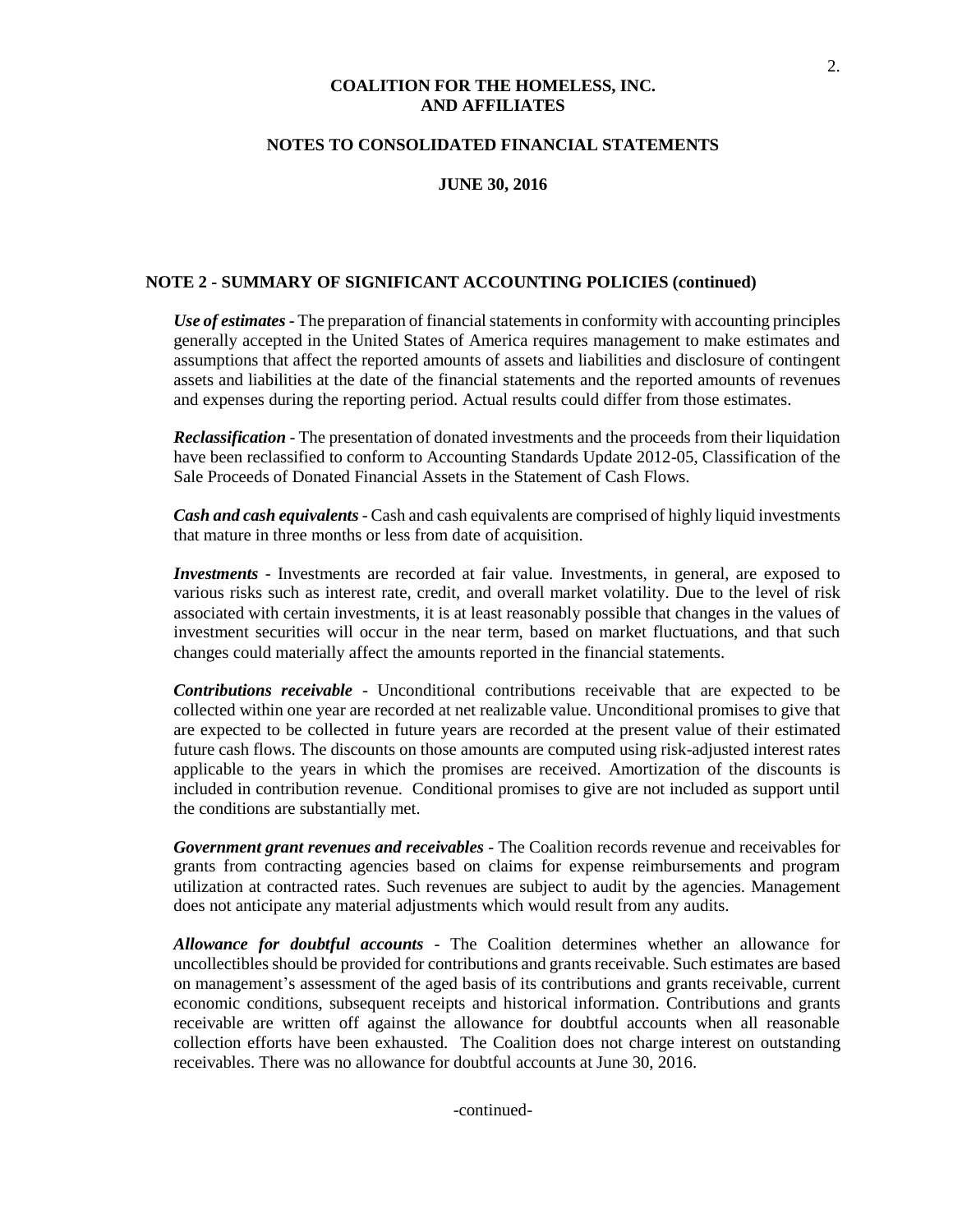#### **NOTES TO CONSOLIDATED FINANCIAL STATEMENTS**

#### **JUNE 30, 2016**

#### **NOTE 2 - SUMMARY OF SIGNIFICANT ACCOUNTING POLICIES (continued)**

*Use of estimates*- The preparation of financial statements in conformity with accounting principles generally accepted in the United States of America requires management to make estimates and assumptions that affect the reported amounts of assets and liabilities and disclosure of contingent assets and liabilities at the date of the financial statements and the reported amounts of revenues and expenses during the reporting period. Actual results could differ from those estimates.

*Reclassification* - The presentation of donated investments and the proceeds from their liquidation have been reclassified to conform to Accounting Standards Update 2012-05, Classification of the Sale Proceeds of Donated Financial Assets in the Statement of Cash Flows.

*Cash and cash equivalents*- Cash and cash equivalents are comprised of highly liquid investments that mature in three months or less from date of acquisition.

*Investments* - Investments are recorded at fair value. Investments, in general, are exposed to various risks such as interest rate, credit, and overall market volatility. Due to the level of risk associated with certain investments, it is at least reasonably possible that changes in the values of investment securities will occur in the near term, based on market fluctuations, and that such changes could materially affect the amounts reported in the financial statements.

*Contributions receivable* - Unconditional contributions receivable that are expected to be collected within one year are recorded at net realizable value. Unconditional promises to give that are expected to be collected in future years are recorded at the present value of their estimated future cash flows. The discounts on those amounts are computed using risk-adjusted interest rates applicable to the years in which the promises are received. Amortization of the discounts is included in contribution revenue. Conditional promises to give are not included as support until the conditions are substantially met.

*Government grant revenues and receivables* - The Coalition records revenue and receivables for grants from contracting agencies based on claims for expense reimbursements and program utilization at contracted rates. Such revenues are subject to audit by the agencies. Management does not anticipate any material adjustments which would result from any audits.

*Allowance for doubtful accounts* - The Coalition determines whether an allowance for uncollectibles should be provided for contributions and grantsreceivable. Such estimates are based on management's assessment of the aged basis of its contributions and grants receivable, current economic conditions, subsequent receipts and historical information. Contributions and grants receivable are written off against the allowance for doubtful accounts when all reasonable collection efforts have been exhausted. The Coalition does not charge interest on outstanding receivables. There was no allowance for doubtful accounts at June 30, 2016.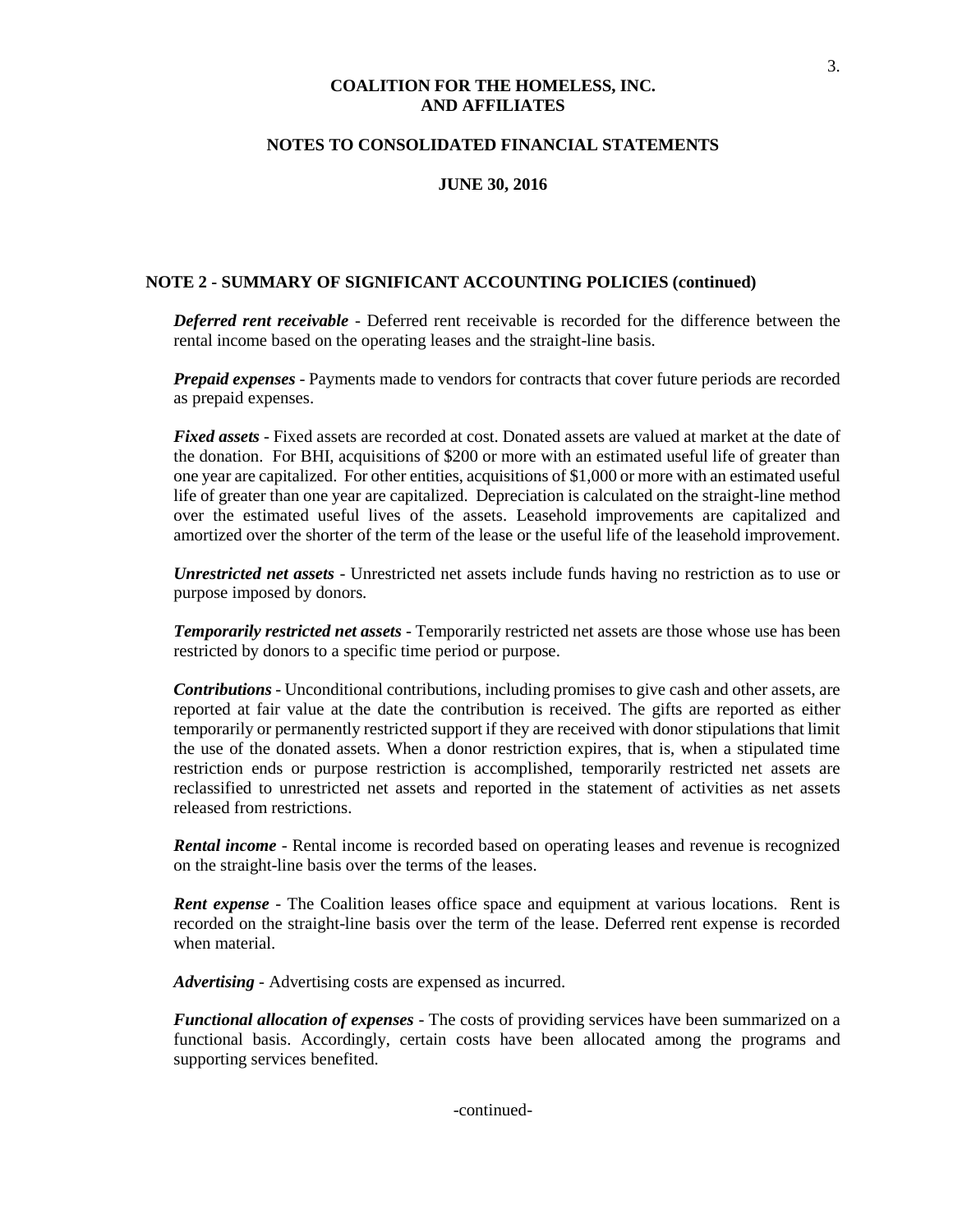#### **NOTES TO CONSOLIDATED FINANCIAL STATEMENTS**

#### **JUNE 30, 2016**

#### **NOTE 2 - SUMMARY OF SIGNIFICANT ACCOUNTING POLICIES (continued)**

*Deferred rent receivable -* Deferred rent receivable is recorded for the difference between the rental income based on the operating leases and the straight-line basis.

*Prepaid expenses* - Payments made to vendors for contracts that cover future periods are recorded as prepaid expenses.

*Fixed assets* - Fixed assets are recorded at cost. Donated assets are valued at market at the date of the donation. For BHI, acquisitions of \$200 or more with an estimated useful life of greater than one year are capitalized. For other entities, acquisitions of \$1,000 or more with an estimated useful life of greater than one year are capitalized. Depreciation is calculated on the straight-line method over the estimated useful lives of the assets. Leasehold improvements are capitalized and amortized over the shorter of the term of the lease or the useful life of the leasehold improvement.

*Unrestricted net assets* - Unrestricted net assets include funds having no restriction as to use or purpose imposed by donors.

*Temporarily restricted net assets* - Temporarily restricted net assets are those whose use has been restricted by donors to a specific time period or purpose.

*Contributions* - Unconditional contributions, including promises to give cash and other assets, are reported at fair value at the date the contribution is received. The gifts are reported as either temporarily or permanently restricted support if they are received with donor stipulations that limit the use of the donated assets. When a donor restriction expires, that is, when a stipulated time restriction ends or purpose restriction is accomplished, temporarily restricted net assets are reclassified to unrestricted net assets and reported in the statement of activities as net assets released from restrictions.

*Rental income* - Rental income is recorded based on operating leases and revenue is recognized on the straight-line basis over the terms of the leases.

*Rent expense* - The Coalition leases office space and equipment at various locations. Rent is recorded on the straight-line basis over the term of the lease. Deferred rent expense is recorded when material.

*Advertising -* Advertising costs are expensed as incurred.

*Functional allocation of expenses* - The costs of providing services have been summarized on a functional basis. Accordingly, certain costs have been allocated among the programs and supporting services benefited.

-continued-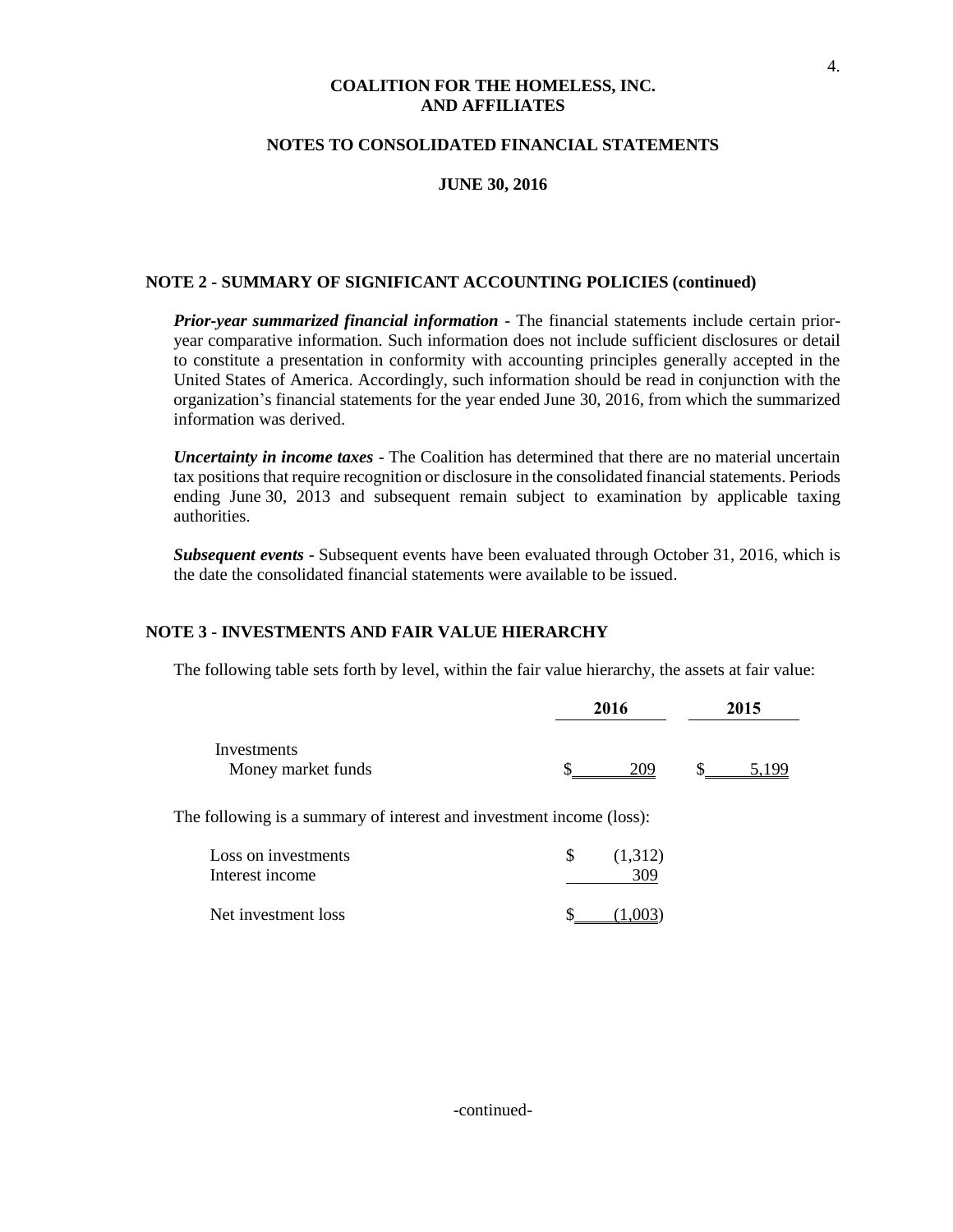#### **NOTES TO CONSOLIDATED FINANCIAL STATEMENTS**

#### **JUNE 30, 2016**

#### **NOTE 2 - SUMMARY OF SIGNIFICANT ACCOUNTING POLICIES (continued)**

*Prior-year summarized financial information* - The financial statements include certain prioryear comparative information. Such information does not include sufficient disclosures or detail to constitute a presentation in conformity with accounting principles generally accepted in the United States of America. Accordingly, such information should be read in conjunction with the organization's financial statements for the year ended June 30, 2016, from which the summarized information was derived.

*Uncertainty in income taxes* - The Coalition has determined that there are no material uncertain tax positionsthat require recognition or disclosure in the consolidated financial statements. Periods ending June 30, 2013 and subsequent remain subject to examination by applicable taxing authorities.

*Subsequent events* - Subsequent events have been evaluated through October 31, 2016, which is the date the consolidated financial statements were available to be issued.

#### **NOTE 3 - INVESTMENTS AND FAIR VALUE HIERARCHY**

The following table sets forth by level, within the fair value hierarchy, the assets at fair value:

|                                   | 2016 |  | 2015 |
|-----------------------------------|------|--|------|
| Investments<br>Money market funds | 7NG  |  | QC   |

The following is a summary of interest and investment income (loss):

| Loss on investments<br>Interest income | (1,312)<br>309 |
|----------------------------------------|----------------|
| Net investment loss                    | (1.003)        |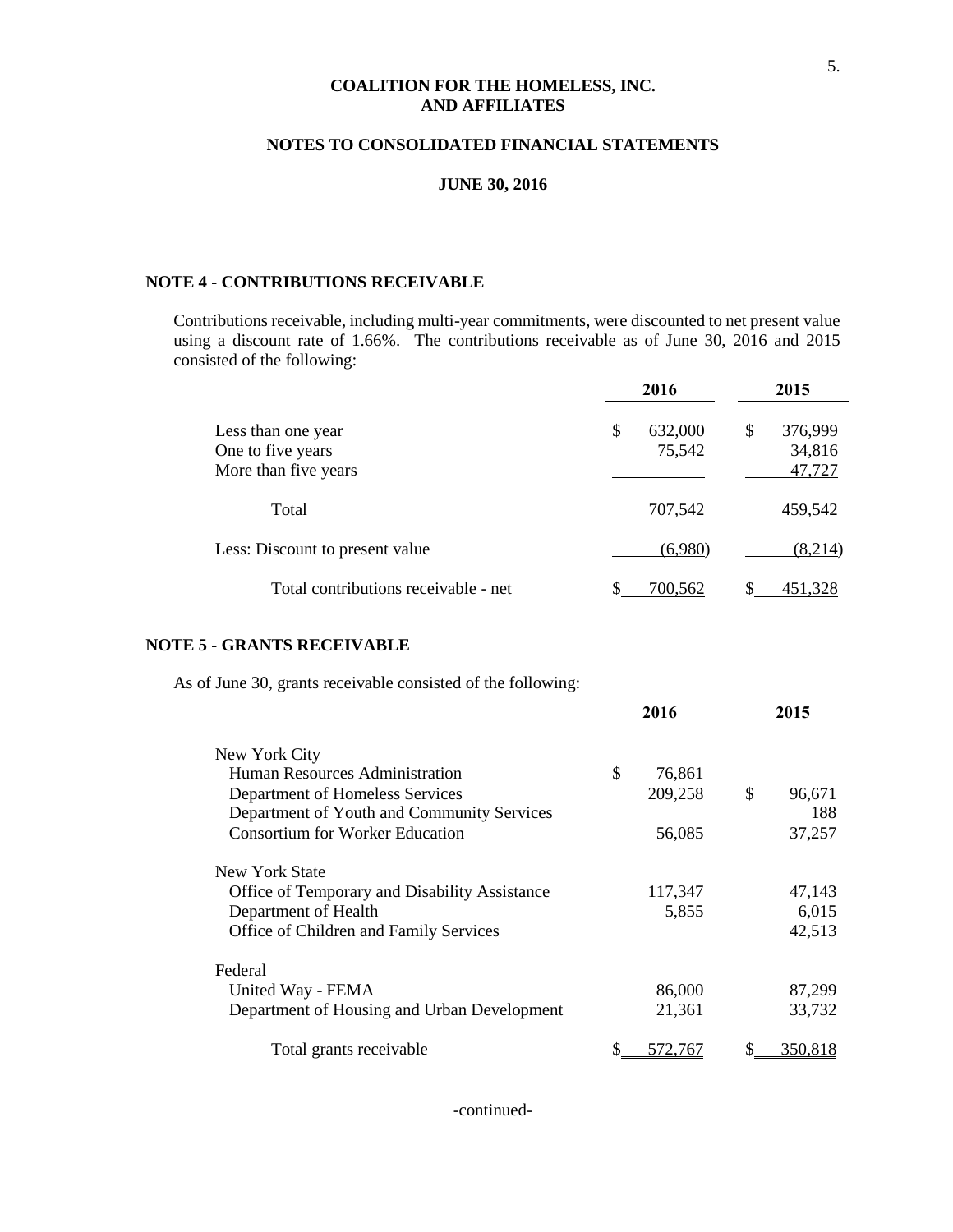#### **NOTES TO CONSOLIDATED FINANCIAL STATEMENTS**

#### **JUNE 30, 2016**

## **NOTE 4 - CONTRIBUTIONS RECEIVABLE**

Contributions receivable, including multi-year commitments, were discounted to net present value using a discount rate of 1.66%. The contributions receivable as of June 30, 2016 and 2015 consisted of the following:

|                                                                 | 2016                    | 2015                              |
|-----------------------------------------------------------------|-------------------------|-----------------------------------|
| Less than one year<br>One to five years<br>More than five years | \$<br>632,000<br>75,542 | \$<br>376,999<br>34,816<br>47,727 |
| Total                                                           | 707,542                 | 459,542                           |
| Less: Discount to present value                                 | (6,980)                 | (8,214)                           |
| Total contributions receivable - net                            | 700.562                 |                                   |

#### **NOTE 5 - GRANTS RECEIVABLE**

As of June 30, grants receivable consisted of the following:

|                                               | 2016         | 2015           |
|-----------------------------------------------|--------------|----------------|
| New York City                                 |              |                |
| Human Resources Administration                | \$<br>76,861 |                |
| Department of Homeless Services               | 209,258      | \$<br>96,671   |
| Department of Youth and Community Services    |              | 188            |
| <b>Consortium for Worker Education</b>        | 56,085       | 37,257         |
| New York State                                |              |                |
| Office of Temporary and Disability Assistance | 117,347      | 47,143         |
| Department of Health                          | 5,855        | 6,015          |
| Office of Children and Family Services        |              | 42,513         |
| Federal                                       |              |                |
| United Way - FEMA                             | 86,000       | 87,299         |
| Department of Housing and Urban Development   | 21,361       | 33,732         |
| Total grants receivable                       | 572.767      | <u>350,818</u> |

-continued-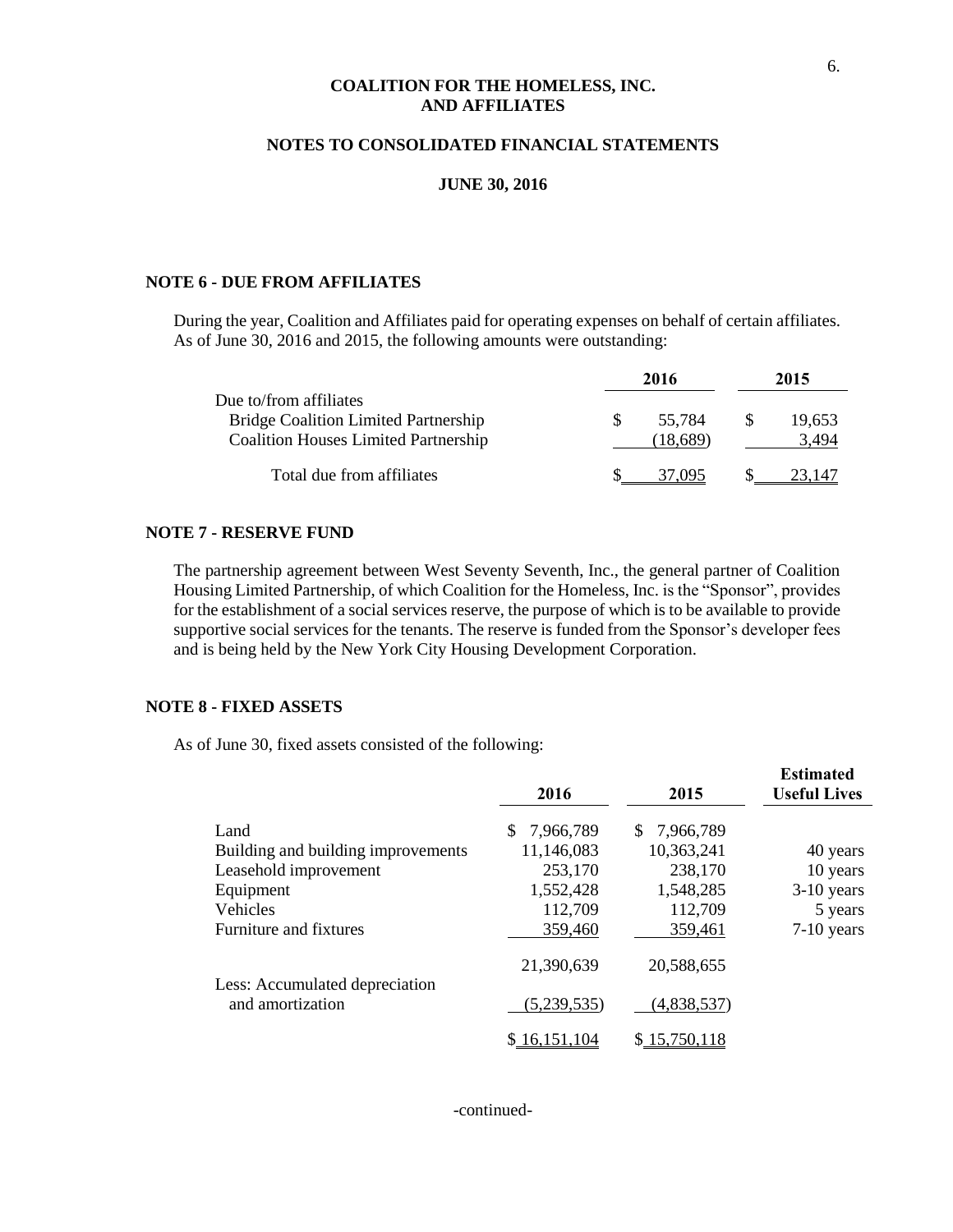#### **NOTES TO CONSOLIDATED FINANCIAL STATEMENTS**

#### **JUNE 30, 2016**

#### **NOTE 6 - DUE FROM AFFILIATES**

During the year, Coalition and Affiliates paid for operating expenses on behalf of certain affiliates. As of June 30, 2016 and 2015, the following amounts were outstanding:

|                                             | 2016    |     | 2015   |
|---------------------------------------------|---------|-----|--------|
| Due to/from affiliates                      |         |     |        |
| <b>Bridge Coalition Limited Partnership</b> | 55.784  | -85 | 19,653 |
| <b>Coalition Houses Limited Partnership</b> | 18.689) |     | 3.494  |
| Total due from affiliates                   |         |     |        |

#### **NOTE 7 - RESERVE FUND**

The partnership agreement between West Seventy Seventh, Inc., the general partner of Coalition Housing Limited Partnership, of which Coalition for the Homeless, Inc. is the "Sponsor", provides for the establishment of a social services reserve, the purpose of which is to be available to provide supportive social services for the tenants. The reserve is funded from the Sponsor's developer fees and is being held by the New York City Housing Development Corporation.

#### **NOTE 8 - FIXED ASSETS**

As of June 30, fixed assets consisted of the following:

|                                    | 2016            | 2015            | <b>Estimated</b><br><b>Useful Lives</b> |
|------------------------------------|-----------------|-----------------|-----------------------------------------|
| Land                               | \$<br>7,966,789 | S.<br>7,966,789 |                                         |
| Building and building improvements | 11,146,083      | 10,363,241      | 40 years                                |
| Leasehold improvement              | 253,170         | 238,170         | 10 years                                |
| Equipment                          | 1,552,428       | 1,548,285       | $3-10$ years                            |
| Vehicles                           | 112,709         | 112,709         | 5 years                                 |
| Furniture and fixtures             | 359,460         | 359,461         | $7-10$ years                            |
| Less: Accumulated depreciation     | 21,390,639      | 20,588,655      |                                         |
| and amortization                   | (5,239,535)     | (4,838,537)     |                                         |
|                                    | \$16,151,104    | \$15,750,118    |                                         |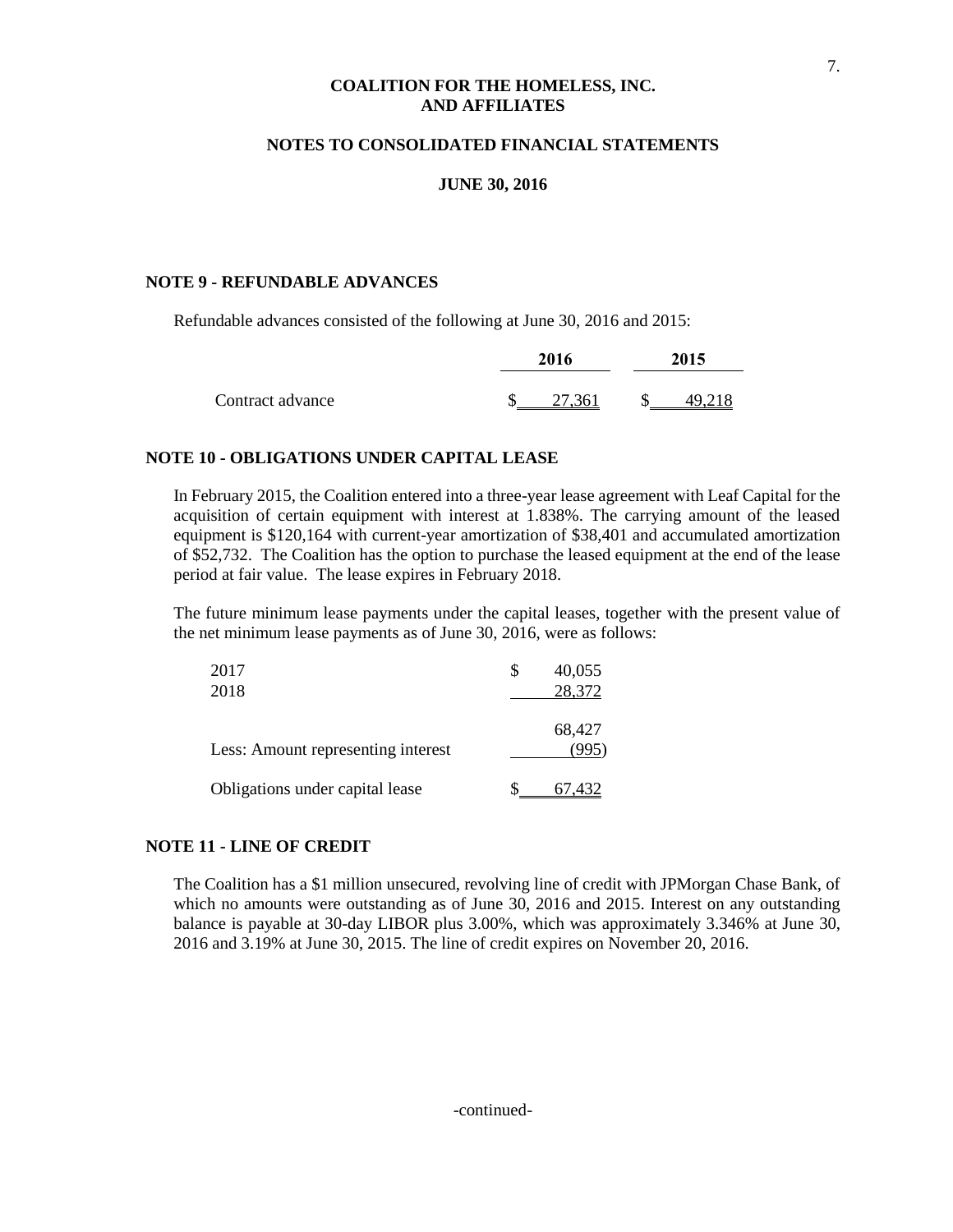#### **NOTES TO CONSOLIDATED FINANCIAL STATEMENTS**

#### **JUNE 30, 2016**

#### **NOTE 9 - REFUNDABLE ADVANCES**

Refundable advances consisted of the following at June 30, 2016 and 2015:

|                  | 2016 |        | 2015   |
|------------------|------|--------|--------|
| Contract advance |      | 27,361 | 49,218 |

#### **NOTE 10 - OBLIGATIONS UNDER CAPITAL LEASE**

In February 2015, the Coalition entered into a three-year lease agreement with Leaf Capital for the acquisition of certain equipment with interest at 1.838%. The carrying amount of the leased equipment is \$120,164 with current-year amortization of \$38,401 and accumulated amortization of \$52,732. The Coalition has the option to purchase the leased equipment at the end of the lease period at fair value. The lease expires in February 2018.

The future minimum lease payments under the capital leases, together with the present value of the net minimum lease payments as of June 30, 2016, were as follows:

| 2017                               | 40,055 |
|------------------------------------|--------|
| 2018                               | 28,372 |
| Less: Amount representing interest | 68,427 |
| Obligations under capital lease    | 67.432 |

#### **NOTE 11 - LINE OF CREDIT**

The Coalition has a \$1 million unsecured, revolving line of credit with JPMorgan Chase Bank, of which no amounts were outstanding as of June 30, 2016 and 2015. Interest on any outstanding balance is payable at 30-day LIBOR plus 3.00%, which was approximately 3.346% at June 30, 2016 and 3.19% at June 30, 2015. The line of credit expires on November 20, 2016.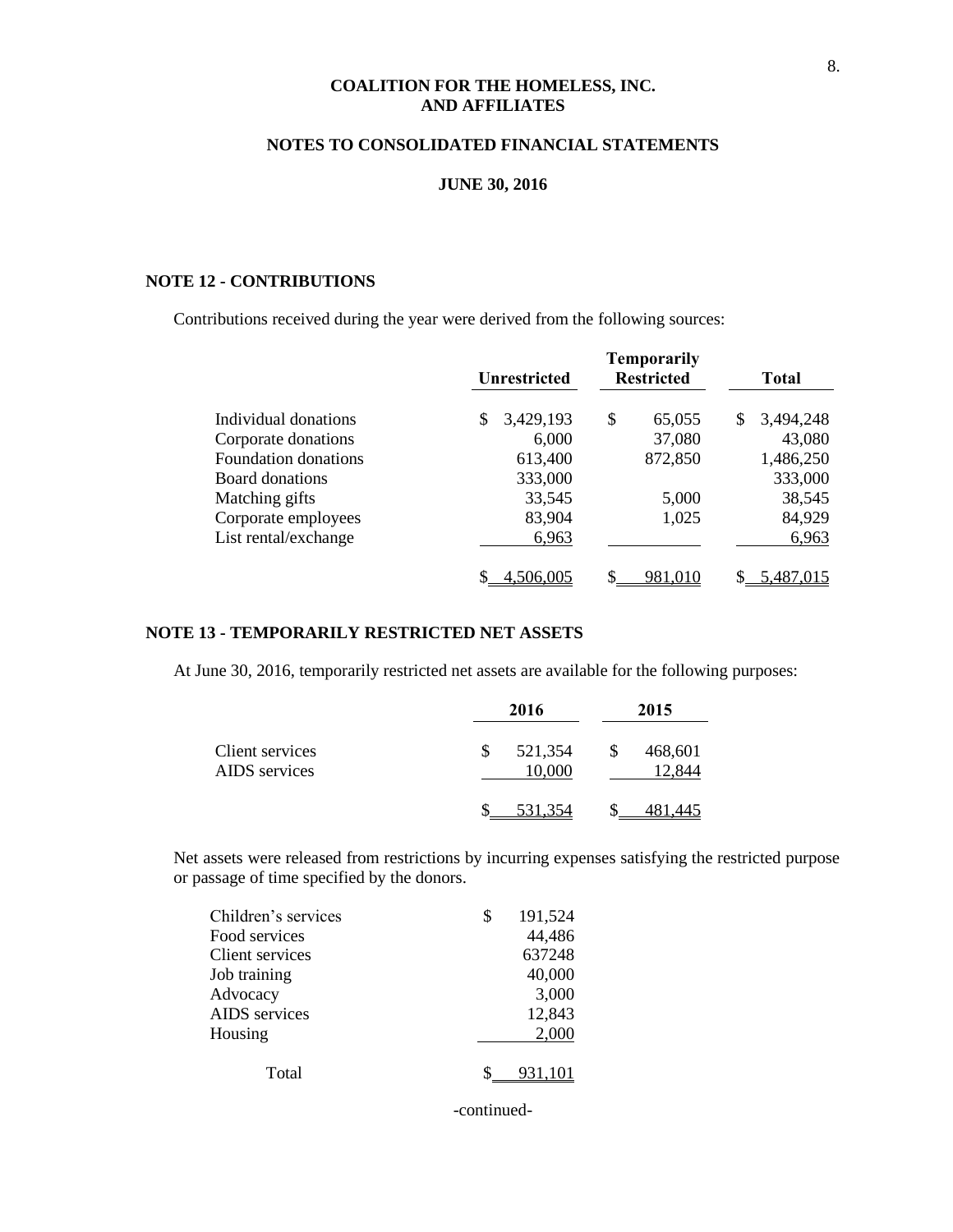#### **NOTES TO CONSOLIDATED FINANCIAL STATEMENTS**

#### **JUNE 30, 2016**

#### **NOTE 12 - CONTRIBUTIONS**

Contributions received during the year were derived from the following sources:

|                        | <b>Unrestricted</b> | <b>Temporarily</b><br><b>Restricted</b> | <b>Total</b>     |
|------------------------|---------------------|-----------------------------------------|------------------|
| Individual donations   | 3,429,193<br>S      | \$<br>65,055                            | 3,494,248<br>\$. |
| Corporate donations    | 6,000               | 37,080                                  | 43,080           |
| Foundation donations   | 613,400             | 872,850                                 | 1,486,250        |
| <b>Board donations</b> | 333,000             |                                         | 333,000          |
| Matching gifts         | 33,545              | 5,000                                   | 38,545           |
| Corporate employees    | 83,904              | 1,025                                   | 84,929           |
| List rental/exchange   | 6,963               |                                         | 6,963            |
|                        | 4.506.005           | 981.010                                 | 5.487.015        |

## **NOTE 13 - TEMPORARILY RESTRICTED NET ASSETS**

At June 30, 2016, temporarily restricted net assets are available for the following purposes:

|                                  | 2016              | 2015                    |
|----------------------------------|-------------------|-------------------------|
| Client services<br>AIDS services | 521,354<br>10,000 | \$<br>468,601<br>12,844 |
|                                  | 531.354           |                         |

Net assets were released from restrictions by incurring expenses satisfying the restricted purpose or passage of time specified by the donors.

| Children's services | 191,524 |
|---------------------|---------|
| Food services       | 44,486  |
| Client services     | 637248  |
| Job training        | 40,000  |
| Advocacy            | 3,000   |
| AIDS services       | 12,843  |
| Housing             | 2,000   |
| Total               |         |
|                     |         |

-continued-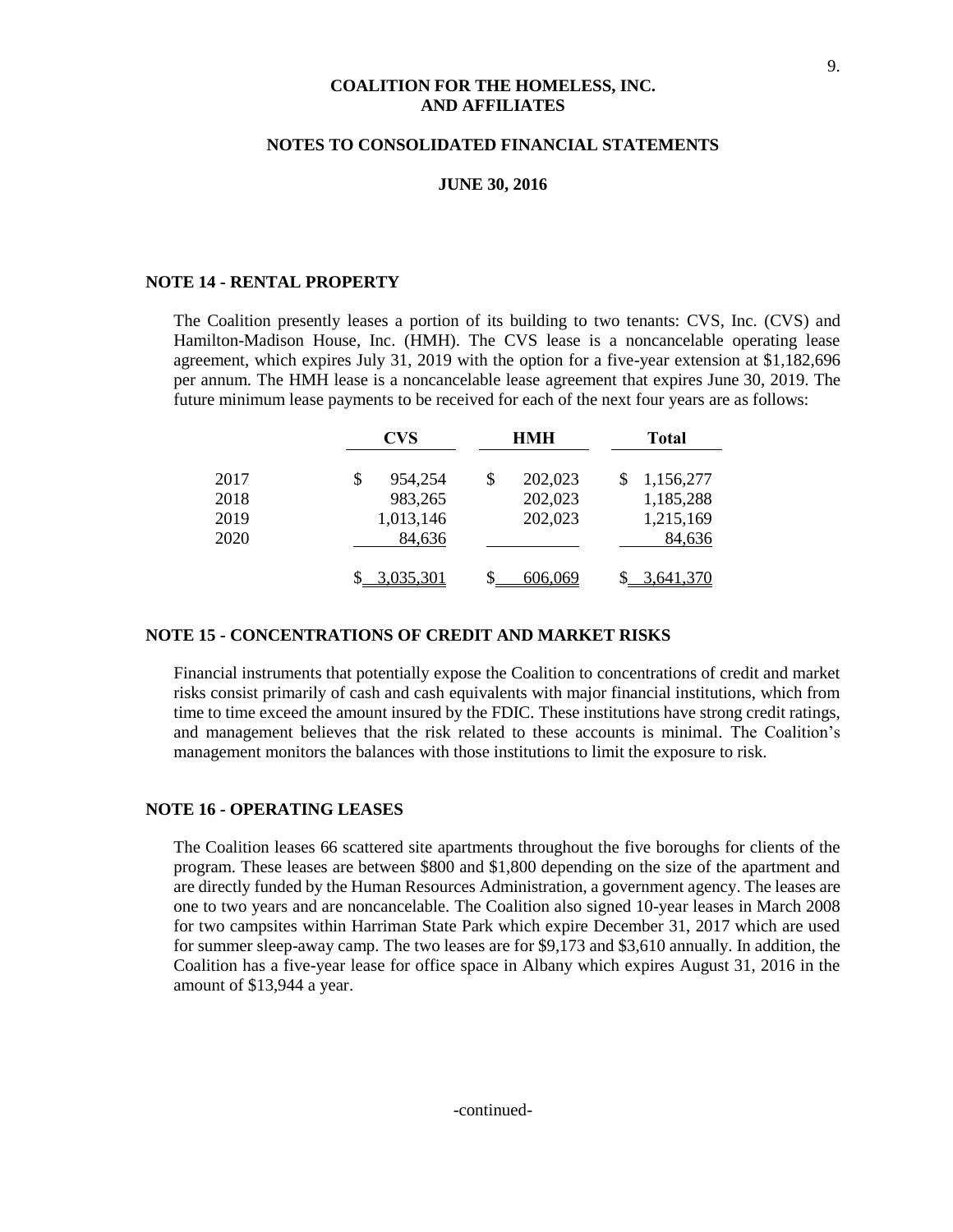#### **NOTES TO CONSOLIDATED FINANCIAL STATEMENTS**

#### **JUNE 30, 2016**

#### **NOTE 14 - RENTAL PROPERTY**

The Coalition presently leases a portion of its building to two tenants: CVS, Inc. (CVS) and Hamilton-Madison House, Inc. (HMH). The CVS lease is a noncancelable operating lease agreement, which expires July 31, 2019 with the option for a five-year extension at \$1,182,696 per annum. The HMH lease is a noncancelable lease agreement that expires June 30, 2019. The future minimum lease payments to be received for each of the next four years are as follows:

|      | <b>CVS</b>   | <b>HMH</b>    | Total     |
|------|--------------|---------------|-----------|
| 2017 | 954,254<br>S | 202,023<br>\$ | 1,156,277 |
| 2018 | 983,265      | 202,023       | 1,185,288 |
| 2019 | 1,013,146    | 202,023       | 1,215,169 |
| 2020 | 84,636       |               | 84,636    |
|      | \$3,035,301  | 606,069       | 3,641,370 |

#### **NOTE 15 - CONCENTRATIONS OF CREDIT AND MARKET RISKS**

Financial instruments that potentially expose the Coalition to concentrations of credit and market risks consist primarily of cash and cash equivalents with major financial institutions, which from time to time exceed the amount insured by the FDIC. These institutions have strong credit ratings, and management believes that the risk related to these accounts is minimal. The Coalition's management monitors the balances with those institutions to limit the exposure to risk.

#### **NOTE 16 - OPERATING LEASES**

The Coalition leases 66 scattered site apartments throughout the five boroughs for clients of the program. These leases are between \$800 and \$1,800 depending on the size of the apartment and are directly funded by the Human Resources Administration, a government agency. The leases are one to two years and are noncancelable. The Coalition also signed 10-year leases in March 2008 for two campsites within Harriman State Park which expire December 31, 2017 which are used for summer sleep-away camp. The two leases are for \$9,173 and \$3,610 annually. In addition, the Coalition has a five-year lease for office space in Albany which expires August 31, 2016 in the amount of \$13,944 a year.